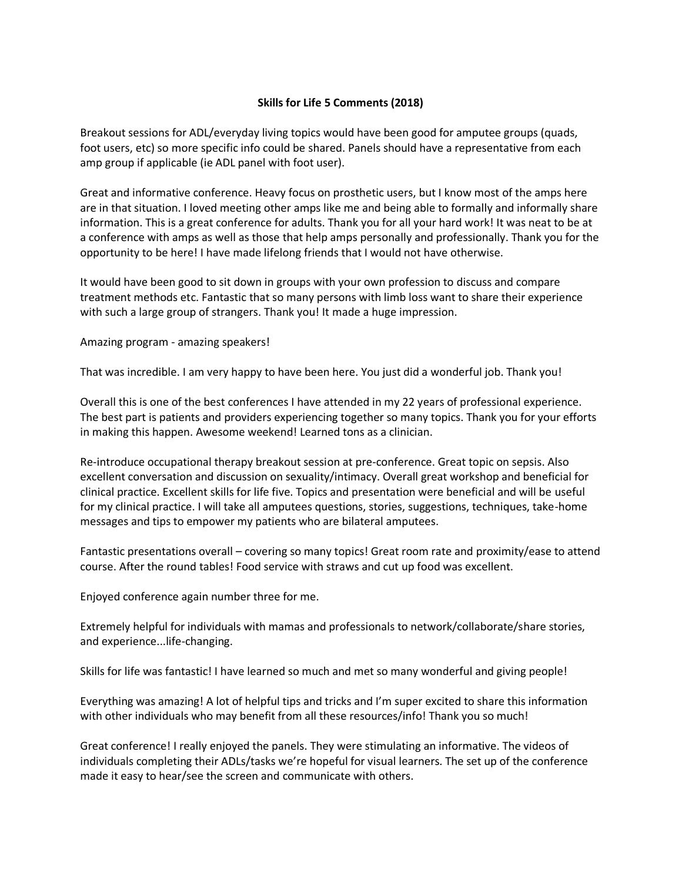## **Skills for Life 5 Comments (2018)**

Breakout sessions for ADL/everyday living topics would have been good for amputee groups (quads, foot users, etc) so more specific info could be shared. Panels should have a representative from each amp group if applicable (ie ADL panel with foot user).

Great and informative conference. Heavy focus on prosthetic users, but I know most of the amps here are in that situation. I loved meeting other amps like me and being able to formally and informally share information. This is a great conference for adults. Thank you for all your hard work! It was neat to be at a conference with amps as well as those that help amps personally and professionally. Thank you for the opportunity to be here! I have made lifelong friends that I would not have otherwise.

It would have been good to sit down in groups with your own profession to discuss and compare treatment methods etc. Fantastic that so many persons with limb loss want to share their experience with such a large group of strangers. Thank you! It made a huge impression.

Amazing program - amazing speakers!

That was incredible. I am very happy to have been here. You just did a wonderful job. Thank you!

Overall this is one of the best conferences I have attended in my 22 years of professional experience. The best part is patients and providers experiencing together so many topics. Thank you for your efforts in making this happen. Awesome weekend! Learned tons as a clinician.

Re-introduce occupational therapy breakout session at pre-conference. Great topic on sepsis. Also excellent conversation and discussion on sexuality/intimacy. Overall great workshop and beneficial for clinical practice. Excellent skills for life five. Topics and presentation were beneficial and will be useful for my clinical practice. I will take all amputees questions, stories, suggestions, techniques, take-home messages and tips to empower my patients who are bilateral amputees.

Fantastic presentations overall – covering so many topics! Great room rate and proximity/ease to attend course. After the round tables! Food service with straws and cut up food was excellent.

Enjoyed conference again number three for me.

Extremely helpful for individuals with mamas and professionals to network/collaborate/share stories, and experience...life-changing.

Skills for life was fantastic! I have learned so much and met so many wonderful and giving people!

Everything was amazing! A lot of helpful tips and tricks and I'm super excited to share this information with other individuals who may benefit from all these resources/info! Thank you so much!

Great conference! I really enjoyed the panels. They were stimulating an informative. The videos of individuals completing their ADLs/tasks we're hopeful for visual learners. The set up of the conference made it easy to hear/see the screen and communicate with others.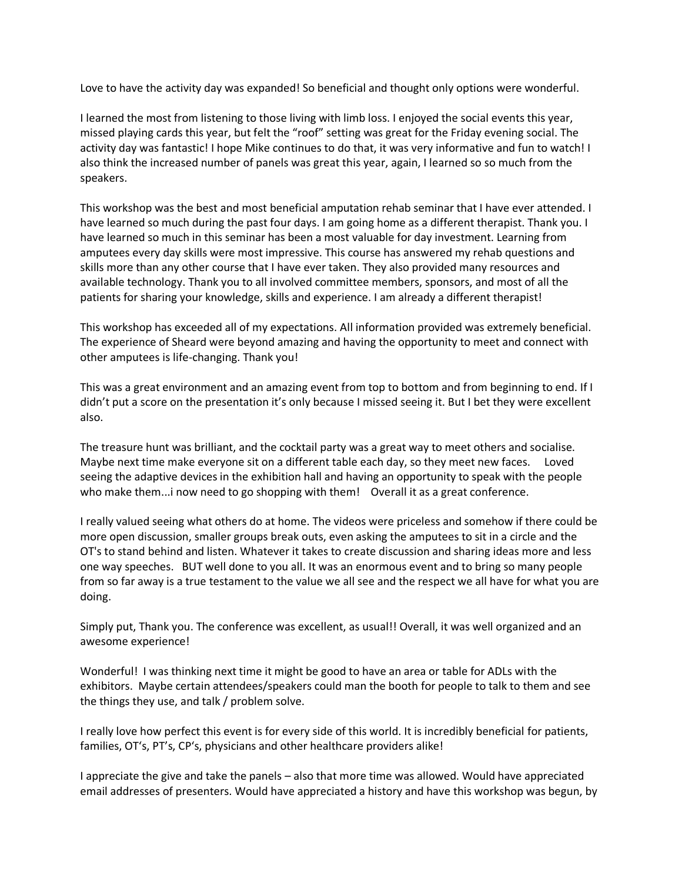Love to have the activity day was expanded! So beneficial and thought only options were wonderful.

I learned the most from listening to those living with limb loss. I enjoyed the social events this year, missed playing cards this year, but felt the "roof" setting was great for the Friday evening social. The activity day was fantastic! I hope Mike continues to do that, it was very informative and fun to watch! I also think the increased number of panels was great this year, again, I learned so so much from the speakers.

This workshop was the best and most beneficial amputation rehab seminar that I have ever attended. I have learned so much during the past four days. I am going home as a different therapist. Thank you. I have learned so much in this seminar has been a most valuable for day investment. Learning from amputees every day skills were most impressive. This course has answered my rehab questions and skills more than any other course that I have ever taken. They also provided many resources and available technology. Thank you to all involved committee members, sponsors, and most of all the patients for sharing your knowledge, skills and experience. I am already a different therapist!

This workshop has exceeded all of my expectations. All information provided was extremely beneficial. The experience of Sheard were beyond amazing and having the opportunity to meet and connect with other amputees is life-changing. Thank you!

This was a great environment and an amazing event from top to bottom and from beginning to end. If I didn't put a score on the presentation it's only because I missed seeing it. But I bet they were excellent also.

The treasure hunt was brilliant, and the cocktail party was a great way to meet others and socialise. Maybe next time make everyone sit on a different table each day, so they meet new faces. Loved seeing the adaptive devices in the exhibition hall and having an opportunity to speak with the people who make them...i now need to go shopping with them! Overall it as a great conference.

I really valued seeing what others do at home. The videos were priceless and somehow if there could be more open discussion, smaller groups break outs, even asking the amputees to sit in a circle and the OT's to stand behind and listen. Whatever it takes to create discussion and sharing ideas more and less one way speeches. BUT well done to you all. It was an enormous event and to bring so many people from so far away is a true testament to the value we all see and the respect we all have for what you are doing.

Simply put, Thank you. The conference was excellent, as usual!! Overall, it was well organized and an awesome experience!

Wonderful! I was thinking next time it might be good to have an area or table for ADLs with the exhibitors. Maybe certain attendees/speakers could man the booth for people to talk to them and see the things they use, and talk / problem solve.

I really love how perfect this event is for every side of this world. It is incredibly beneficial for patients, families, OT's, PT's, CP's, physicians and other healthcare providers alike!

I appreciate the give and take the panels – also that more time was allowed. Would have appreciated email addresses of presenters. Would have appreciated a history and have this workshop was begun, by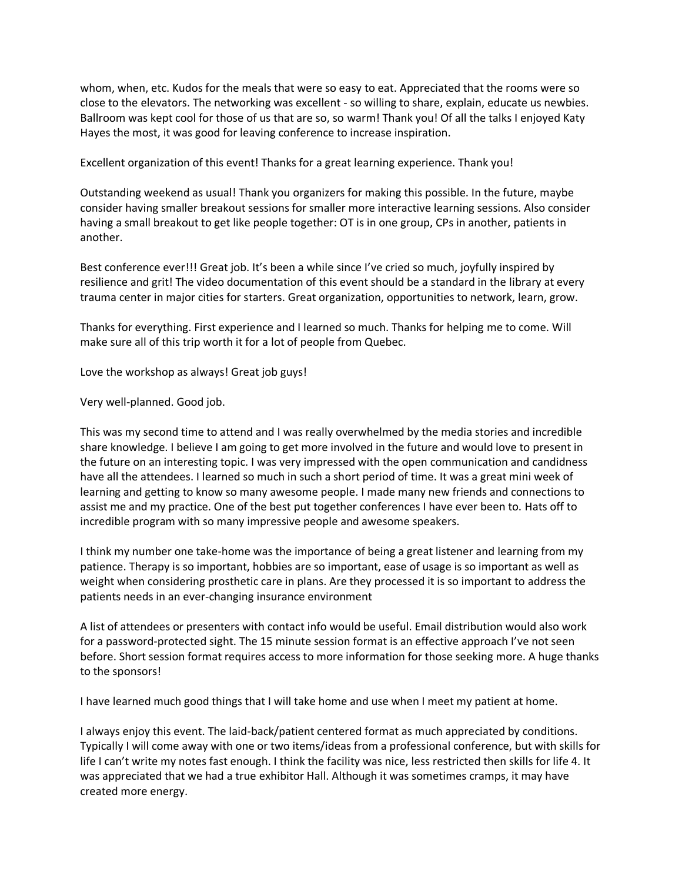whom, when, etc. Kudos for the meals that were so easy to eat. Appreciated that the rooms were so close to the elevators. The networking was excellent - so willing to share, explain, educate us newbies. Ballroom was kept cool for those of us that are so, so warm! Thank you! Of all the talks I enjoyed Katy Hayes the most, it was good for leaving conference to increase inspiration.

Excellent organization of this event! Thanks for a great learning experience. Thank you!

Outstanding weekend as usual! Thank you organizers for making this possible. In the future, maybe consider having smaller breakout sessions for smaller more interactive learning sessions. Also consider having a small breakout to get like people together: OT is in one group, CPs in another, patients in another.

Best conference ever!!! Great job. It's been a while since I've cried so much, joyfully inspired by resilience and grit! The video documentation of this event should be a standard in the library at every trauma center in major cities for starters. Great organization, opportunities to network, learn, grow.

Thanks for everything. First experience and I learned so much. Thanks for helping me to come. Will make sure all of this trip worth it for a lot of people from Quebec.

Love the workshop as always! Great job guys!

Very well-planned. Good job.

This was my second time to attend and I was really overwhelmed by the media stories and incredible share knowledge. I believe I am going to get more involved in the future and would love to present in the future on an interesting topic. I was very impressed with the open communication and candidness have all the attendees. I learned so much in such a short period of time. It was a great mini week of learning and getting to know so many awesome people. I made many new friends and connections to assist me and my practice. One of the best put together conferences I have ever been to. Hats off to incredible program with so many impressive people and awesome speakers.

I think my number one take-home was the importance of being a great listener and learning from my patience. Therapy is so important, hobbies are so important, ease of usage is so important as well as weight when considering prosthetic care in plans. Are they processed it is so important to address the patients needs in an ever-changing insurance environment

A list of attendees or presenters with contact info would be useful. Email distribution would also work for a password-protected sight. The 15 minute session format is an effective approach I've not seen before. Short session format requires access to more information for those seeking more. A huge thanks to the sponsors!

I have learned much good things that I will take home and use when I meet my patient at home.

I always enjoy this event. The laid-back/patient centered format as much appreciated by conditions. Typically I will come away with one or two items/ideas from a professional conference, but with skills for life I can't write my notes fast enough. I think the facility was nice, less restricted then skills for life 4. It was appreciated that we had a true exhibitor Hall. Although it was sometimes cramps, it may have created more energy.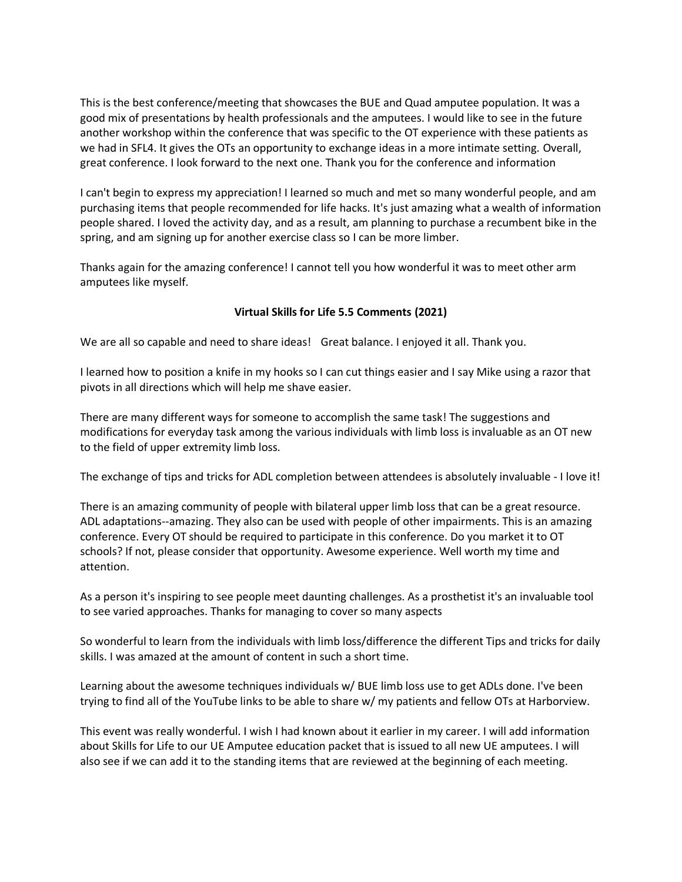This is the best conference/meeting that showcases the BUE and Quad amputee population. It was a good mix of presentations by health professionals and the amputees. I would like to see in the future another workshop within the conference that was specific to the OT experience with these patients as we had in SFL4. It gives the OTs an opportunity to exchange ideas in a more intimate setting. Overall, great conference. I look forward to the next one. Thank you for the conference and information

I can't begin to express my appreciation! I learned so much and met so many wonderful people, and am purchasing items that people recommended for life hacks. It's just amazing what a wealth of information people shared. I loved the activity day, and as a result, am planning to purchase a recumbent bike in the spring, and am signing up for another exercise class so I can be more limber.

Thanks again for the amazing conference! I cannot tell you how wonderful it was to meet other arm amputees like myself.

## **Virtual Skills for Life 5.5 Comments (2021)**

We are all so capable and need to share ideas! Great balance. I enjoyed it all. Thank you.

I learned how to position a knife in my hooks so I can cut things easier and I say Mike using a razor that pivots in all directions which will help me shave easier.

There are many different ways for someone to accomplish the same task! The suggestions and modifications for everyday task among the various individuals with limb loss is invaluable as an OT new to the field of upper extremity limb loss.

The exchange of tips and tricks for ADL completion between attendees is absolutely invaluable - I love it!

There is an amazing community of people with bilateral upper limb loss that can be a great resource. ADL adaptations--amazing. They also can be used with people of other impairments. This is an amazing conference. Every OT should be required to participate in this conference. Do you market it to OT schools? If not, please consider that opportunity. Awesome experience. Well worth my time and attention.

As a person it's inspiring to see people meet daunting challenges. As a prosthetist it's an invaluable tool to see varied approaches. Thanks for managing to cover so many aspects

So wonderful to learn from the individuals with limb loss/difference the different Tips and tricks for daily skills. I was amazed at the amount of content in such a short time.

Learning about the awesome techniques individuals w/ BUE limb loss use to get ADLs done. I've been trying to find all of the YouTube links to be able to share w/ my patients and fellow OTs at Harborview.

This event was really wonderful. I wish I had known about it earlier in my career. I will add information about Skills for Life to our UE Amputee education packet that is issued to all new UE amputees. I will also see if we can add it to the standing items that are reviewed at the beginning of each meeting.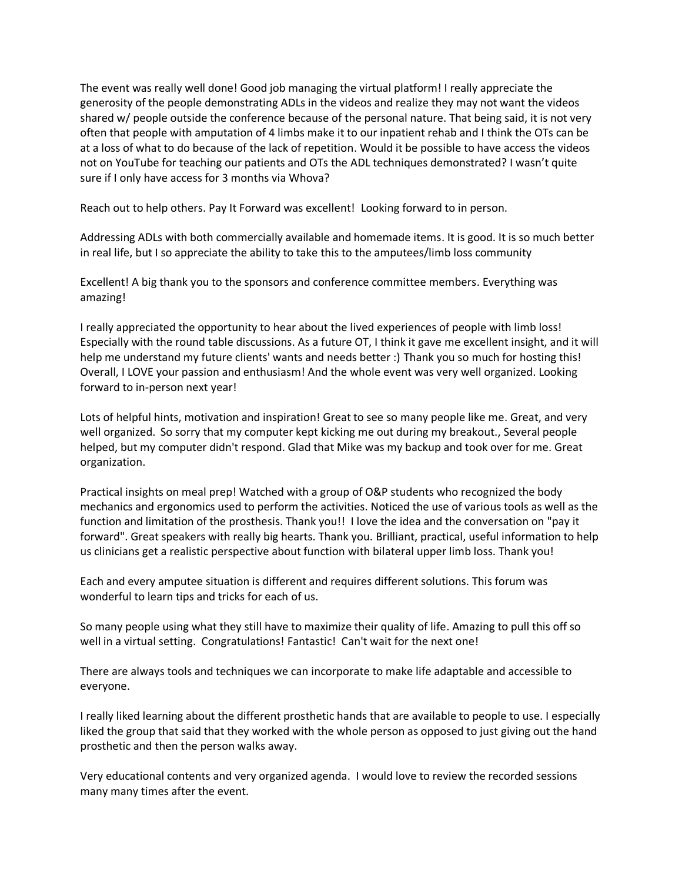The event was really well done! Good job managing the virtual platform! I really appreciate the generosity of the people demonstrating ADLs in the videos and realize they may not want the videos shared w/ people outside the conference because of the personal nature. That being said, it is not very often that people with amputation of 4 limbs make it to our inpatient rehab and I think the OTs can be at a loss of what to do because of the lack of repetition. Would it be possible to have access the videos not on YouTube for teaching our patients and OTs the ADL techniques demonstrated? I wasn't quite sure if I only have access for 3 months via Whova?

Reach out to help others. Pay It Forward was excellent! Looking forward to in person.

Addressing ADLs with both commercially available and homemade items. It is good. It is so much better in real life, but I so appreciate the ability to take this to the amputees/limb loss community

Excellent! A big thank you to the sponsors and conference committee members. Everything was amazing!

I really appreciated the opportunity to hear about the lived experiences of people with limb loss! Especially with the round table discussions. As a future OT, I think it gave me excellent insight, and it will help me understand my future clients' wants and needs better :) Thank you so much for hosting this! Overall, I LOVE your passion and enthusiasm! And the whole event was very well organized. Looking forward to in-person next year!

Lots of helpful hints, motivation and inspiration! Great to see so many people like me. Great, and very well organized. So sorry that my computer kept kicking me out during my breakout., Several people helped, but my computer didn't respond. Glad that Mike was my backup and took over for me. Great organization.

Practical insights on meal prep! Watched with a group of O&P students who recognized the body mechanics and ergonomics used to perform the activities. Noticed the use of various tools as well as the function and limitation of the prosthesis. Thank you!! I love the idea and the conversation on "pay it forward". Great speakers with really big hearts. Thank you. Brilliant, practical, useful information to help us clinicians get a realistic perspective about function with bilateral upper limb loss. Thank you!

Each and every amputee situation is different and requires different solutions. This forum was wonderful to learn tips and tricks for each of us.

So many people using what they still have to maximize their quality of life. Amazing to pull this off so well in a virtual setting. Congratulations! Fantastic! Can't wait for the next one!

There are always tools and techniques we can incorporate to make life adaptable and accessible to everyone.

I really liked learning about the different prosthetic hands that are available to people to use. I especially liked the group that said that they worked with the whole person as opposed to just giving out the hand prosthetic and then the person walks away.

Very educational contents and very organized agenda. I would love to review the recorded sessions many many times after the event.